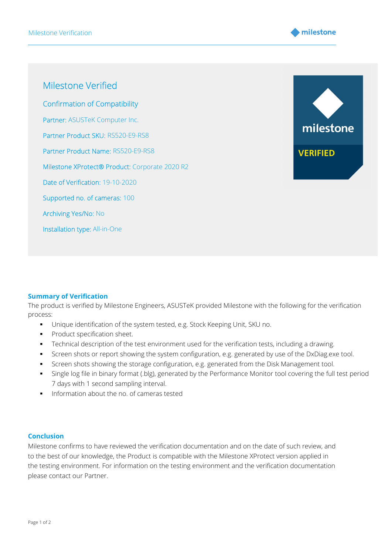

Milestone Verified Confirmation of Compatibility Partner: ASUSTeK Computer Inc. Partner Product SKU: RS520-E9-RS8 Partner Product Name: RS520-E9-RS8 Milestone XProtect® Product: Corporate 2020 R2 Date of Verification: 19-10-2020 Supported no. of cameras: 100 Archiving Yes/No: No Installation type: All-in-One



## Summary of Verification

The product is verified by Milestone Engineers, ASUSTeK provided Milestone with the following for the verification process:

- Unique identification of the system tested, e.g. Stock Keeping Unit, SKU no.
- **Product specification sheet.**
- Technical description of the test environment used for the verification tests, including a drawing.
- Screen shots or report showing the system configuration, e.g. generated by use of the DxDiag.exe tool.
- Screen shots showing the storage configuration, e.g. generated from the Disk Management tool.
- Single log file in binary format (.blg), generated by the Performance Monitor tool covering the full test period, 7 days with 1 second sampling interval.
- **Information about the no. of cameras tested**

## Conclusion

Milestone confirms to have reviewed the verification documentation and on the date of such review, and to the best of our knowledge, the Product is compatible with the Milestone XProtect version applied in the testing environment. For information on the testing environment and the verification documentation please contact our Partner.